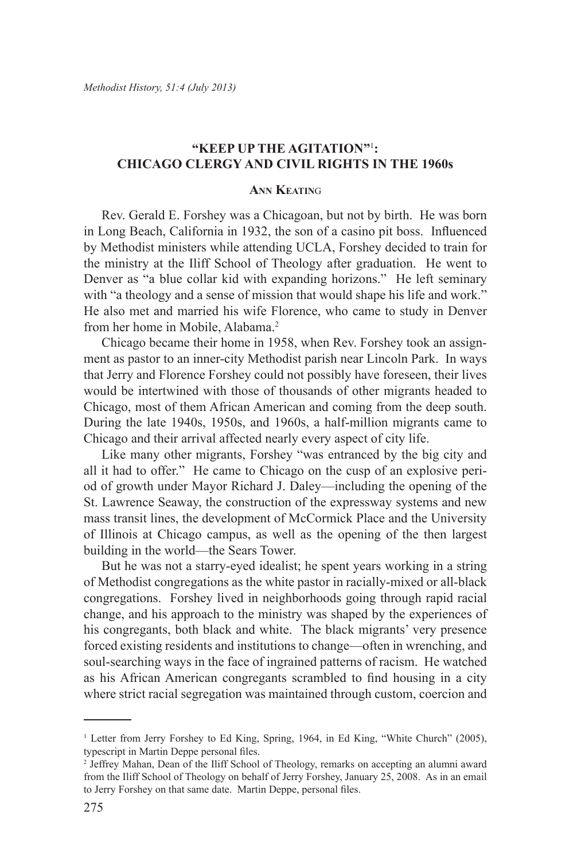# **"Keep up the Agitation"**<sup>1</sup> **: Chicago Clergy and Civil Rights in the 1960s**

### **Ann Keatin**<sup>g</sup>

Rev. Gerald E. Forshey was a Chicagoan, but not by birth. He was born in Long Beach, California in 1932, the son of a casino pit boss. Influenced by Methodist ministers while attending UCLA, Forshey decided to train for the ministry at the Iliff School of Theology after graduation. He went to Denver as "a blue collar kid with expanding horizons." He left seminary with "a theology and a sense of mission that would shape his life and work." He also met and married his wife Florence, who came to study in Denver from her home in Mobile, Alabama.2

Chicago became their home in 1958, when Rev. Forshey took an assignment as pastor to an inner-city Methodist parish near Lincoln Park. In ways that Jerry and Florence Forshey could not possibly have foreseen, their lives would be intertwined with those of thousands of other migrants headed to Chicago, most of them African American and coming from the deep south. During the late 1940s, 1950s, and 1960s, a half-million migrants came to Chicago and their arrival affected nearly every aspect of city life.

Like many other migrants, Forshey "was entranced by the big city and all it had to offer." He came to Chicago on the cusp of an explosive period of growth under Mayor Richard J. Daley—including the opening of the St. Lawrence Seaway, the construction of the expressway systems and new mass transit lines, the development of McCormick Place and the University of Illinois at Chicago campus, as well as the opening of the then largest building in the world—the Sears Tower.

But he was not a starry-eyed idealist; he spent years working in a string of Methodist congregations as the white pastor in racially-mixed or all-black congregations. Forshey lived in neighborhoods going through rapid racial change, and his approach to the ministry was shaped by the experiences of his congregants, both black and white. The black migrants' very presence forced existing residents and institutions to change—often in wrenching, and soul-searching ways in the face of ingrained patterns of racism. He watched as his African American congregants scrambled to find housing in a city where strict racial segregation was maintained through custom, coercion and

<sup>&</sup>lt;sup>1</sup> Letter from Jerry Forshey to Ed King, Spring, 1964, in Ed King, "White Church" (2005), typescript in Martin Deppe personal files.

<sup>2</sup> Jeffrey Mahan, Dean of the Iliff School of Theology, remarks on accepting an alumni award from the Iliff School of Theology on behalf of Jerry Forshey, January 25, 2008. As in an email to Jerry Forshey on that same date. Martin Deppe, personal files.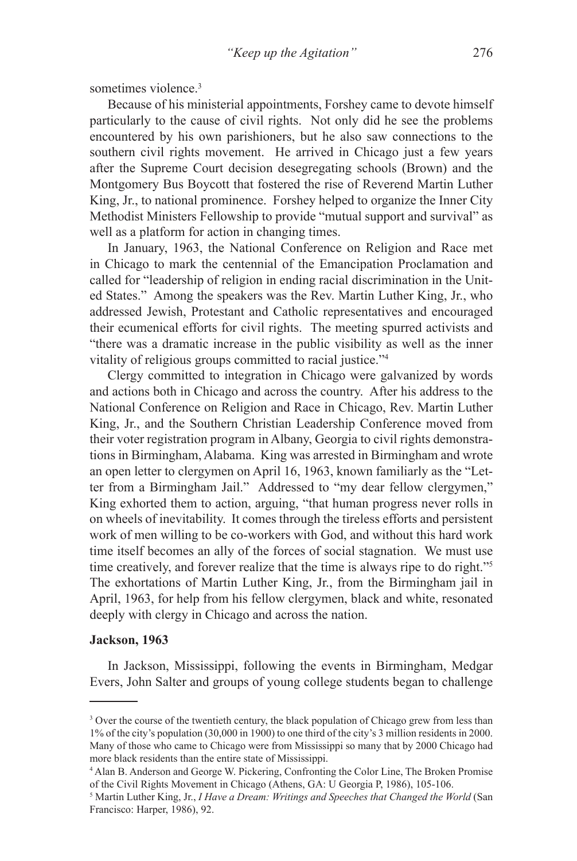sometimes violence.<sup>3</sup>

Because of his ministerial appointments, Forshey came to devote himself particularly to the cause of civil rights. Not only did he see the problems encountered by his own parishioners, but he also saw connections to the southern civil rights movement. He arrived in Chicago just a few years after the Supreme Court decision desegregating schools (Brown) and the Montgomery Bus Boycott that fostered the rise of Reverend Martin Luther King, Jr., to national prominence. Forshey helped to organize the Inner City Methodist Ministers Fellowship to provide "mutual support and survival" as well as a platform for action in changing times.

In January, 1963, the National Conference on Religion and Race met in Chicago to mark the centennial of the Emancipation Proclamation and called for "leadership of religion in ending racial discrimination in the United States." Among the speakers was the Rev. Martin Luther King, Jr., who addressed Jewish, Protestant and Catholic representatives and encouraged their ecumenical efforts for civil rights. The meeting spurred activists and "there was a dramatic increase in the public visibility as well as the inner vitality of religious groups committed to racial justice."4

Clergy committed to integration in Chicago were galvanized by words and actions both in Chicago and across the country. After his address to the National Conference on Religion and Race in Chicago, Rev. Martin Luther King, Jr., and the Southern Christian Leadership Conference moved from their voter registration program in Albany, Georgia to civil rights demonstrations in Birmingham, Alabama. King was arrested in Birmingham and wrote an open letter to clergymen on April 16, 1963, known familiarly as the "Letter from a Birmingham Jail." Addressed to "my dear fellow clergymen," King exhorted them to action, arguing, "that human progress never rolls in on wheels of inevitability. It comes through the tireless efforts and persistent work of men willing to be co-workers with God, and without this hard work time itself becomes an ally of the forces of social stagnation. We must use time creatively, and forever realize that the time is always ripe to do right."5 The exhortations of Martin Luther King, Jr., from the Birmingham jail in April, 1963, for help from his fellow clergymen, black and white, resonated deeply with clergy in Chicago and across the nation.

#### **Jackson, 1963**

In Jackson, Mississippi, following the events in Birmingham, Medgar Evers, John Salter and groups of young college students began to challenge

<sup>&</sup>lt;sup>3</sup> Over the course of the twentieth century, the black population of Chicago grew from less than 1% of the city's population (30,000 in 1900) to one third of the city's 3 million residents in 2000. Many of those who came to Chicago were from Mississippi so many that by 2000 Chicago had more black residents than the entire state of Mississippi.

<sup>4</sup> Alan B. Anderson and George W. Pickering, Confronting the Color Line, The Broken Promise of the Civil Rights Movement in Chicago (Athens, GA: U Georgia P, 1986), 105-106.

<sup>5</sup> Martin Luther King, Jr., *I Have a Dream: Writings and Speeches that Changed the World* (San Francisco: Harper, 1986), 92.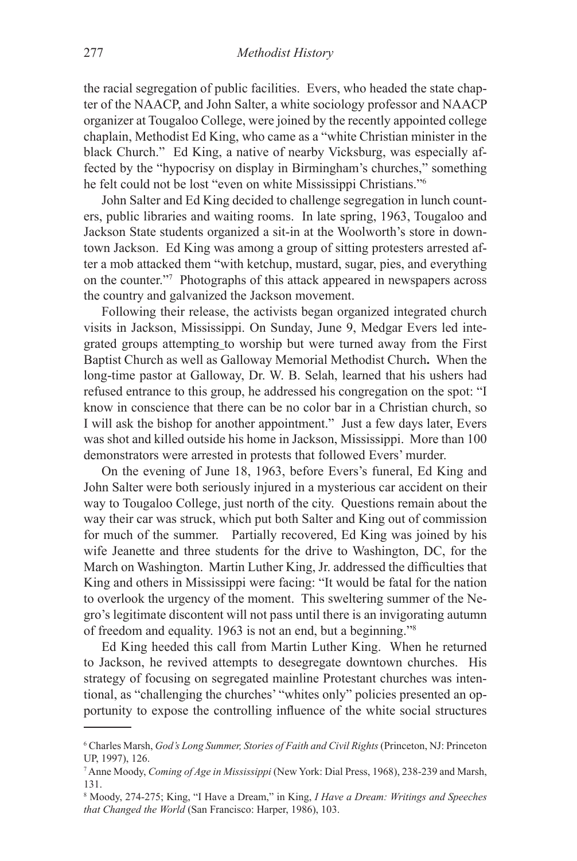the racial segregation of public facilities. Evers, who headed the state chapter of the NAACP, and John Salter, a white sociology professor and NAACP organizer at Tougaloo College, were joined by the recently appointed college chaplain, Methodist Ed King, who came as a "white Christian minister in the black Church." Ed King, a native of nearby Vicksburg, was especially affected by the "hypocrisy on display in Birmingham's churches," something he felt could not be lost "even on white Mississippi Christians."6

John Salter and Ed King decided to challenge segregation in lunch counters, public libraries and waiting rooms. In late spring, 1963, Tougaloo and Jackson State students organized a sit-in at the Woolworth's store in downtown Jackson. Ed King was among a group of sitting protesters arrested after a mob attacked them "with ketchup, mustard, sugar, pies, and everything on the counter."7 Photographs of this attack appeared in newspapers across the country and galvanized the Jackson movement.

Following their release, the activists began organized integrated church visits in Jackson, Mississippi. On Sunday, June 9, Medgar Evers led integrated groups attempting to worship but were turned away from the First Baptist Church as well as Galloway Memorial Methodist Church**.** When the long-time pastor at Galloway, Dr. W. B. Selah, learned that his ushers had refused entrance to this group, he addressed his congregation on the spot: "I know in conscience that there can be no color bar in a Christian church, so I will ask the bishop for another appointment." Just a few days later, Evers was shot and killed outside his home in Jackson, Mississippi. More than 100 demonstrators were arrested in protests that followed Evers' murder.

On the evening of June 18, 1963, before Evers's funeral, Ed King and John Salter were both seriously injured in a mysterious car accident on their way to Tougaloo College, just north of the city. Questions remain about the way their car was struck, which put both Salter and King out of commission for much of the summer. Partially recovered, Ed King was joined by his wife Jeanette and three students for the drive to Washington, DC, for the March on Washington. Martin Luther King, Jr. addressed the difficulties that King and others in Mississippi were facing: "It would be fatal for the nation to overlook the urgency of the moment. This sweltering summer of the Negro's legitimate discontent will not pass until there is an invigorating autumn of freedom and equality. 1963 is not an end, but a beginning."8

Ed King heeded this call from Martin Luther King. When he returned to Jackson, he revived attempts to desegregate downtown churches. His strategy of focusing on segregated mainline Protestant churches was intentional, as "challenging the churches' "whites only" policies presented an opportunity to expose the controlling influence of the white social structures

<sup>6</sup> Charles Marsh, *God's Long Summer, Stories of Faith and Civil Rights* (Princeton, NJ: Princeton UP, 1997), 126.

<sup>7</sup> Anne Moody, *Coming of Age in Mississippi* (New York: Dial Press, 1968), 238-239 and Marsh, 131.

<sup>8</sup> Moody, 274-275; King, "I Have a Dream," in King, *I Have a Dream: Writings and Speeches that Changed the World* (San Francisco: Harper, 1986), 103.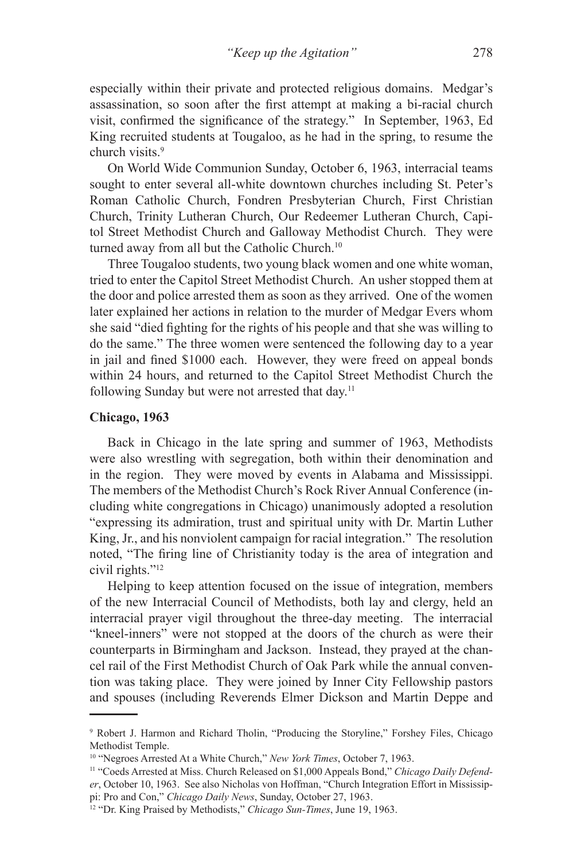especially within their private and protected religious domains. Medgar's assassination, so soon after the first attempt at making a bi-racial church visit, confirmed the significance of the strategy." In September, 1963, Ed King recruited students at Tougaloo, as he had in the spring, to resume the church visits.<sup>9</sup>

On World Wide Communion Sunday, October 6, 1963, interracial teams sought to enter several all-white downtown churches including St. Peter's Roman Catholic Church, Fondren Presbyterian Church, First Christian Church, Trinity Lutheran Church, Our Redeemer Lutheran Church, Capitol Street Methodist Church and Galloway Methodist Church. They were turned away from all but the Catholic Church.<sup>10</sup>

Three Tougaloo students, two young black women and one white woman, tried to enter the Capitol Street Methodist Church. An usher stopped them at the door and police arrested them as soon as they arrived. One of the women later explained her actions in relation to the murder of Medgar Evers whom she said "died fighting for the rights of his people and that she was willing to do the same." The three women were sentenced the following day to a year in jail and fined \$1000 each. However, they were freed on appeal bonds within 24 hours, and returned to the Capitol Street Methodist Church the following Sunday but were not arrested that day.<sup>11</sup>

### **Chicago, 1963**

Back in Chicago in the late spring and summer of 1963, Methodists were also wrestling with segregation, both within their denomination and in the region. They were moved by events in Alabama and Mississippi. The members of the Methodist Church's Rock River Annual Conference (including white congregations in Chicago) unanimously adopted a resolution "expressing its admiration, trust and spiritual unity with Dr. Martin Luther King, Jr., and his nonviolent campaign for racial integration." The resolution noted, "The firing line of Christianity today is the area of integration and civil rights."12

Helping to keep attention focused on the issue of integration, members of the new Interracial Council of Methodists, both lay and clergy, held an interracial prayer vigil throughout the three-day meeting. The interracial "kneel-inners" were not stopped at the doors of the church as were their counterparts in Birmingham and Jackson. Instead, they prayed at the chancel rail of the First Methodist Church of Oak Park while the annual convention was taking place. They were joined by Inner City Fellowship pastors and spouses (including Reverends Elmer Dickson and Martin Deppe and

<sup>9</sup> Robert J. Harmon and Richard Tholin, "Producing the Storyline," Forshey Files, Chicago Methodist Temple.

<sup>10 &</sup>quot;Negroes Arrested At a White Church," *New York Times*, October 7, 1963.

<sup>&</sup>lt;sup>11</sup> "Coeds Arrested at Miss. Church Released on \$1,000 Appeals Bond," *Chicago Daily Defender*, October 10, 1963. See also Nicholas von Hoffman, "Church Integration Effort in Mississippi: Pro and Con," *Chicago Daily News*, Sunday, October 27, 1963.

<sup>12 &</sup>quot;Dr. King Praised by Methodists," *Chicago Sun-Times*, June 19, 1963.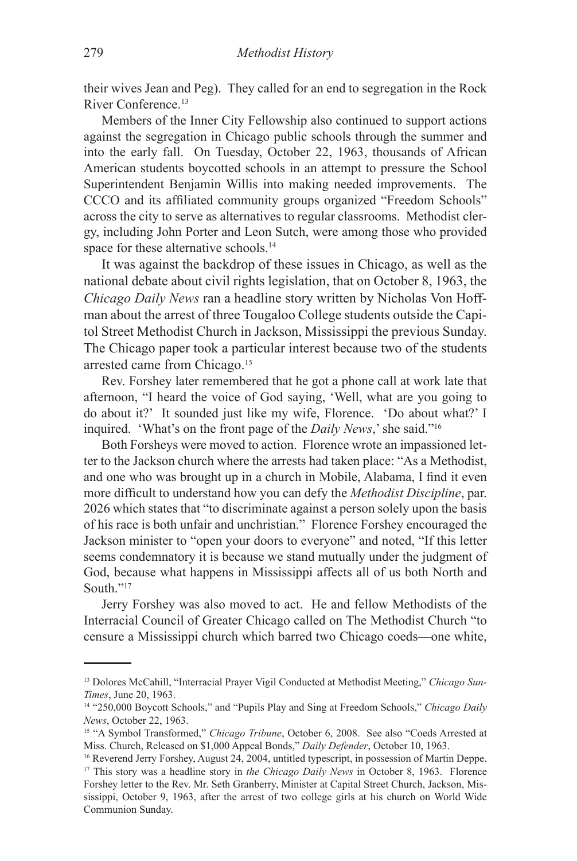their wives Jean and Peg). They called for an end to segregation in the Rock River Conference.13

Members of the Inner City Fellowship also continued to support actions against the segregation in Chicago public schools through the summer and into the early fall. On Tuesday, October 22, 1963, thousands of African American students boycotted schools in an attempt to pressure the School Superintendent Benjamin Willis into making needed improvements. The CCCO and its affiliated community groups organized "Freedom Schools" across the city to serve as alternatives to regular classrooms. Methodist clergy, including John Porter and Leon Sutch, were among those who provided space for these alternative schools.<sup>14</sup>

It was against the backdrop of these issues in Chicago, as well as the national debate about civil rights legislation, that on October 8, 1963, the *Chicago Daily News* ran a headline story written by Nicholas Von Hoffman about the arrest of three Tougaloo College students outside the Capitol Street Methodist Church in Jackson, Mississippi the previous Sunday. The Chicago paper took a particular interest because two of the students arrested came from Chicago.15

Rev. Forshey later remembered that he got a phone call at work late that afternoon, "I heard the voice of God saying, 'Well, what are you going to do about it?' It sounded just like my wife, Florence. 'Do about what?' I inquired. 'What's on the front page of the *Daily News*,' she said."16

Both Forsheys were moved to action. Florence wrote an impassioned letter to the Jackson church where the arrests had taken place: "As a Methodist, and one who was brought up in a church in Mobile, Alabama, I find it even more difficult to understand how you can defy the *Methodist Discipline*, par. 2026 which states that "to discriminate against a person solely upon the basis of his race is both unfair and unchristian." Florence Forshey encouraged the Jackson minister to "open your doors to everyone" and noted, "If this letter seems condemnatory it is because we stand mutually under the judgment of God, because what happens in Mississippi affects all of us both North and South<sup>"17</sup>

Jerry Forshey was also moved to act. He and fellow Methodists of the Interracial Council of Greater Chicago called on The Methodist Church "to censure a Mississippi church which barred two Chicago coeds—one white,

<sup>13</sup> Dolores McCahill, "Interracial Prayer Vigil Conducted at Methodist Meeting," *Chicago Sun-Times*, June 20, 1963.

<sup>14 &</sup>quot;250,000 Boycott Schools," and "Pupils Play and Sing at Freedom Schools," *Chicago Daily News*, October 22, 1963.<br><sup>15</sup> "A Symbol Transformed," *Chicago Tribune*, October 6, 2008. See also "Coeds Arrested at

Miss. Church, Released on \$1,000 Appeal Bonds," *Daily Defender*, October 10, 1963.

<sup>&</sup>lt;sup>16</sup> Reverend Jerry Forshey, August 24, 2004, untitled typescript, in possession of Martin Deppe. <sup>17</sup> This story was a headline story in *the Chicago Daily News* in October 8, 1963. Florence Forshey letter to the Rev. Mr. Seth Granberry, Minister at Capital Street Church, Jackson, Mississippi, October 9, 1963, after the arrest of two college girls at his church on World Wide Communion Sunday.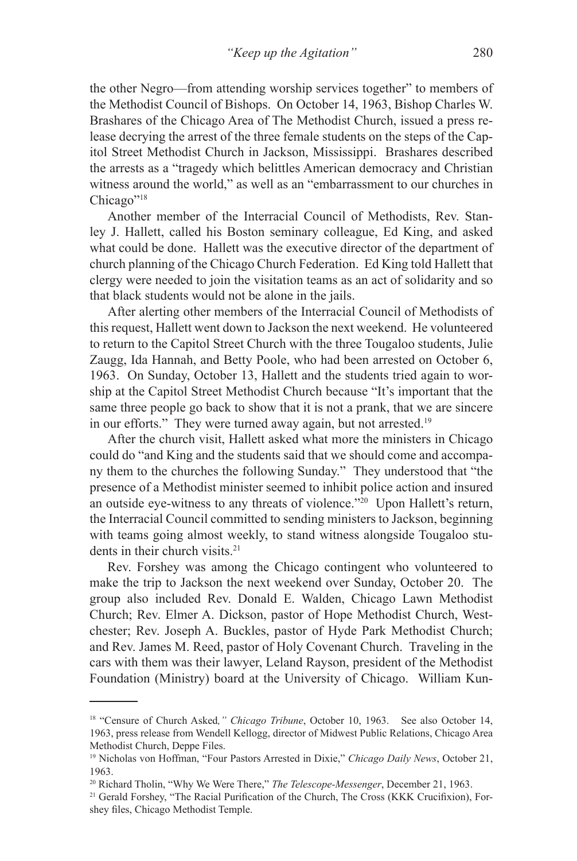the other Negro—from attending worship services together" to members of the Methodist Council of Bishops. On October 14, 1963, Bishop Charles W. Brashares of the Chicago Area of The Methodist Church, issued a press release decrying the arrest of the three female students on the steps of the Capitol Street Methodist Church in Jackson, Mississippi. Brashares described the arrests as a "tragedy which belittles American democracy and Christian witness around the world," as well as an "embarrassment to our churches in Chicago"<sup>18</sup>

Another member of the Interracial Council of Methodists, Rev. Stanley J. Hallett, called his Boston seminary colleague, Ed King, and asked what could be done. Hallett was the executive director of the department of church planning of the Chicago Church Federation. Ed King told Hallett that clergy were needed to join the visitation teams as an act of solidarity and so that black students would not be alone in the jails.

After alerting other members of the Interracial Council of Methodists of this request, Hallett went down to Jackson the next weekend. He volunteered to return to the Capitol Street Church with the three Tougaloo students, Julie Zaugg, Ida Hannah, and Betty Poole, who had been arrested on October 6, 1963. On Sunday, October 13, Hallett and the students tried again to worship at the Capitol Street Methodist Church because "It's important that the same three people go back to show that it is not a prank, that we are sincere in our efforts." They were turned away again, but not arrested.<sup>19</sup>

After the church visit, Hallett asked what more the ministers in Chicago could do "and King and the students said that we should come and accompany them to the churches the following Sunday." They understood that "the presence of a Methodist minister seemed to inhibit police action and insured an outside eye-witness to any threats of violence."20 Upon Hallett's return, the Interracial Council committed to sending ministers to Jackson, beginning with teams going almost weekly, to stand witness alongside Tougaloo students in their church visits.<sup>21</sup>

Rev. Forshey was among the Chicago contingent who volunteered to make the trip to Jackson the next weekend over Sunday, October 20. The group also included Rev. Donald E. Walden, Chicago Lawn Methodist Church; Rev. Elmer A. Dickson, pastor of Hope Methodist Church, Westchester; Rev. Joseph A. Buckles, pastor of Hyde Park Methodist Church; and Rev. James M. Reed, pastor of Holy Covenant Church. Traveling in the cars with them was their lawyer, Leland Rayson, president of the Methodist Foundation (Ministry) board at the University of Chicago. William Kun-

<sup>18 &</sup>quot;Censure of Church Asked*," Chicago Tribune*, October 10, 1963. See also October 14, 1963, press release from Wendell Kellogg, director of Midwest Public Relations, Chicago Area Methodist Church, Deppe Files.

<sup>19</sup> Nicholas von Hoffman, "Four Pastors Arrested in Dixie," *Chicago Daily News*, October 21, 1963.

<sup>20</sup> Richard Tholin, "Why We Were There," *The Telescope-Messenger*, December 21, 1963.

<sup>&</sup>lt;sup>21</sup> Gerald Forshey, "The Racial Purification of the Church, The Cross (KKK Crucifixion), Forshey files, Chicago Methodist Temple.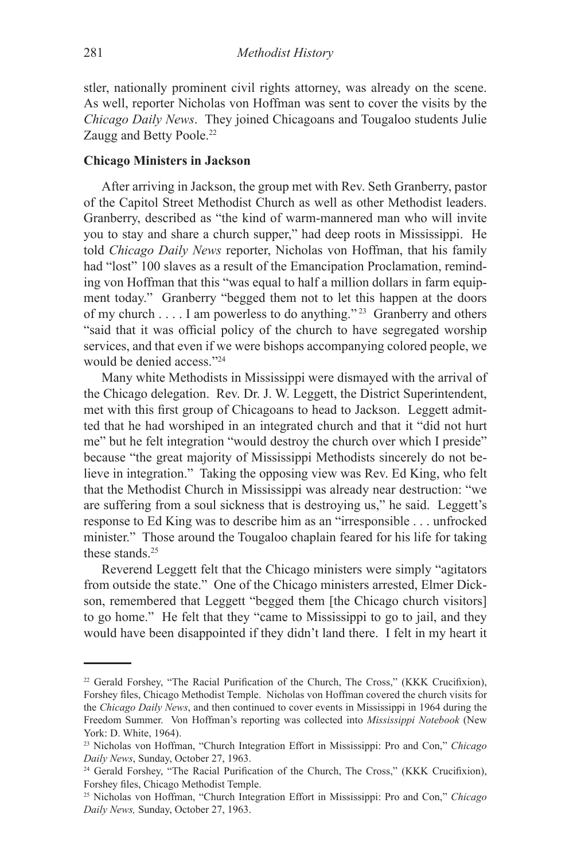stler, nationally prominent civil rights attorney, was already on the scene. As well, reporter Nicholas von Hoffman was sent to cover the visits by the *Chicago Daily News*. They joined Chicagoans and Tougaloo students Julie Zaugg and Betty Poole.<sup>22</sup>

#### **Chicago Ministers in Jackson**

After arriving in Jackson, the group met with Rev. Seth Granberry, pastor of the Capitol Street Methodist Church as well as other Methodist leaders. Granberry, described as "the kind of warm-mannered man who will invite you to stay and share a church supper," had deep roots in Mississippi. He told *Chicago Daily News* reporter, Nicholas von Hoffman, that his family had "lost" 100 slaves as a result of the Emancipation Proclamation, reminding von Hoffman that this "was equal to half a million dollars in farm equipment today." Granberry "begged them not to let this happen at the doors of my church . . . . I am powerless to do anything." 23 Granberry and others "said that it was official policy of the church to have segregated worship services, and that even if we were bishops accompanying colored people, we would be denied access."24

Many white Methodists in Mississippi were dismayed with the arrival of the Chicago delegation. Rev. Dr. J. W. Leggett, the District Superintendent, met with this first group of Chicagoans to head to Jackson. Leggett admitted that he had worshiped in an integrated church and that it "did not hurt me" but he felt integration "would destroy the church over which I preside" because "the great majority of Mississippi Methodists sincerely do not believe in integration." Taking the opposing view was Rev. Ed King, who felt that the Methodist Church in Mississippi was already near destruction: "we are suffering from a soul sickness that is destroying us," he said. Leggett's response to Ed King was to describe him as an "irresponsible . . . unfrocked minister." Those around the Tougaloo chaplain feared for his life for taking these stands.<sup>25</sup>

Reverend Leggett felt that the Chicago ministers were simply "agitators from outside the state." One of the Chicago ministers arrested, Elmer Dickson, remembered that Leggett "begged them [the Chicago church visitors] to go home." He felt that they "came to Mississippi to go to jail, and they would have been disappointed if they didn't land there. I felt in my heart it

<sup>&</sup>lt;sup>22</sup> Gerald Forshey, "The Racial Purification of the Church, The Cross," (KKK Crucifixion), Forshey files, Chicago Methodist Temple. Nicholas von Hoffman covered the church visits for the *Chicago Daily News*, and then continued to cover events in Mississippi in 1964 during the Freedom Summer. Von Hoffman's reporting was collected into *Mississippi Notebook* (New York: D. White, 1964).

<sup>23</sup> Nicholas von Hoffman, "Church Integration Effort in Mississippi: Pro and Con," *Chicago Daily News*, Sunday, October 27, 1963.

<sup>24</sup> Gerald Forshey, "The Racial Purification of the Church, The Cross," (KKK Crucifixion), Forshey files, Chicago Methodist Temple.

<sup>25</sup> Nicholas von Hoffman, "Church Integration Effort in Mississippi: Pro and Con," *Chicago Daily News,* Sunday, October 27, 1963.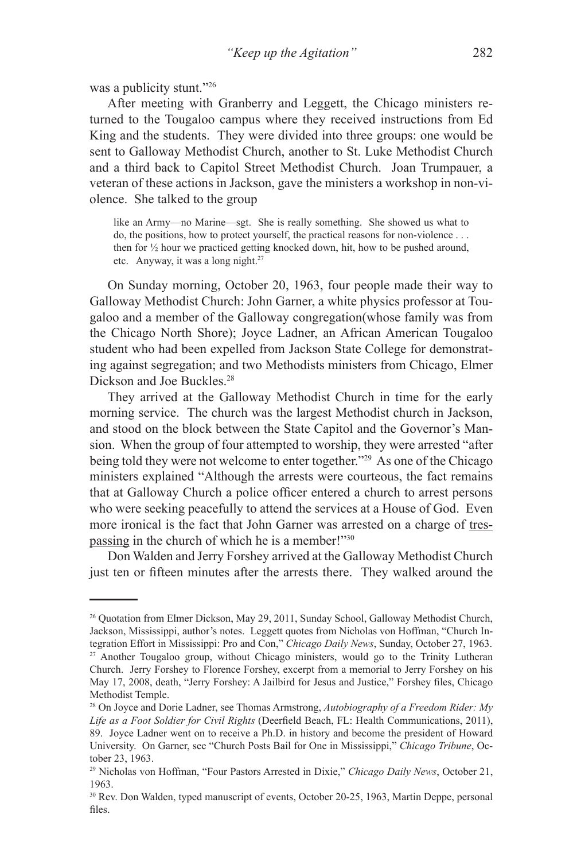was a publicity stunt."26

After meeting with Granberry and Leggett, the Chicago ministers returned to the Tougaloo campus where they received instructions from Ed King and the students. They were divided into three groups: one would be sent to Galloway Methodist Church, another to St. Luke Methodist Church and a third back to Capitol Street Methodist Church. Joan Trumpauer, a veteran of these actions in Jackson, gave the ministers a workshop in non-violence. She talked to the group

like an Army—no Marine—sgt. She is really something. She showed us what to do, the positions, how to protect yourself, the practical reasons for non-violence . . . then for ½ hour we practiced getting knocked down, hit, how to be pushed around, etc. Anyway, it was a long night.27

On Sunday morning, October 20, 1963, four people made their way to Galloway Methodist Church: John Garner, a white physics professor at Tougaloo and a member of the Galloway congregation(whose family was from the Chicago North Shore); Joyce Ladner, an African American Tougaloo student who had been expelled from Jackson State College for demonstrating against segregation; and two Methodists ministers from Chicago, Elmer Dickson and Joe Buckles.<sup>28</sup>

They arrived at the Galloway Methodist Church in time for the early morning service. The church was the largest Methodist church in Jackson, and stood on the block between the State Capitol and the Governor's Mansion. When the group of four attempted to worship, they were arrested "after being told they were not welcome to enter together."<sup>29</sup> As one of the Chicago ministers explained "Although the arrests were courteous, the fact remains that at Galloway Church a police officer entered a church to arrest persons who were seeking peacefully to attend the services at a House of God. Even more ironical is the fact that John Garner was arrested on a charge of trespassing in the church of which he is a member!"<sup>30</sup>

Don Walden and Jerry Forshey arrived at the Galloway Methodist Church just ten or fifteen minutes after the arrests there. They walked around the

<sup>26</sup> Quotation from Elmer Dickson, May 29, 2011, Sunday School, Galloway Methodist Church, Jackson, Mississippi, author's notes. Leggett quotes from Nicholas von Hoffman, "Church Integration Effort in Mississippi: Pro and Con," *Chicago Daily News*, Sunday, October 27, 1963. <sup>27</sup> Another Tougaloo group, without Chicago ministers, would go to the Trinity Lutheran Church. Jerry Forshey to Florence Forshey, excerpt from a memorial to Jerry Forshey on his May 17, 2008, death, "Jerry Forshey: A Jailbird for Jesus and Justice," Forshey files, Chicago Methodist Temple.

<sup>28</sup> On Joyce and Dorie Ladner, see Thomas Armstrong, *Autobiography of a Freedom Rider: My Life as a Foot Soldier for Civil Rights* (Deerfield Beach, FL: Health Communications, 2011), 89. Joyce Ladner went on to receive a Ph.D. in history and become the president of Howard University. On Garner, see "Church Posts Bail for One in Mississippi," *Chicago Tribune*, October 23, 1963.

<sup>29</sup> Nicholas von Hoffman, "Four Pastors Arrested in Dixie," *Chicago Daily News*, October 21, 1963.

<sup>30</sup> Rev. Don Walden, typed manuscript of events, October 20-25, 1963, Martin Deppe, personal files.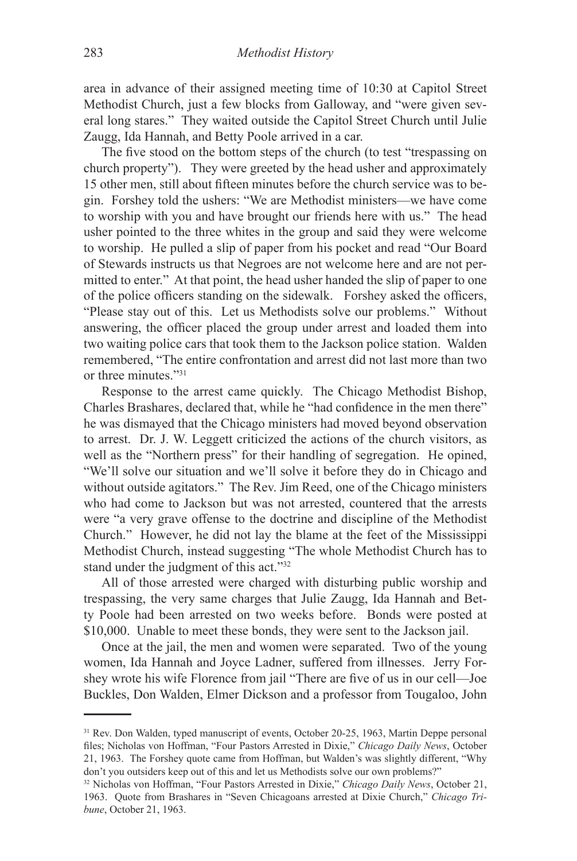area in advance of their assigned meeting time of 10:30 at Capitol Street Methodist Church, just a few blocks from Galloway, and "were given several long stares." They waited outside the Capitol Street Church until Julie Zaugg, Ida Hannah, and Betty Poole arrived in a car.

The five stood on the bottom steps of the church (to test "trespassing on church property"). They were greeted by the head usher and approximately 15 other men, still about fifteen minutes before the church service was to begin. Forshey told the ushers: "We are Methodist ministers—we have come to worship with you and have brought our friends here with us." The head usher pointed to the three whites in the group and said they were welcome to worship. He pulled a slip of paper from his pocket and read "Our Board of Stewards instructs us that Negroes are not welcome here and are not permitted to enter." At that point, the head usher handed the slip of paper to one of the police officers standing on the sidewalk. Forshey asked the officers, "Please stay out of this. Let us Methodists solve our problems." Without answering, the officer placed the group under arrest and loaded them into two waiting police cars that took them to the Jackson police station. Walden remembered, "The entire confrontation and arrest did not last more than two or three minutes<sup>"31</sup>

Response to the arrest came quickly. The Chicago Methodist Bishop, Charles Brashares, declared that, while he "had confidence in the men there" he was dismayed that the Chicago ministers had moved beyond observation to arrest. Dr. J. W. Leggett criticized the actions of the church visitors, as well as the "Northern press" for their handling of segregation. He opined, "We'll solve our situation and we'll solve it before they do in Chicago and without outside agitators." The Rev. Jim Reed, one of the Chicago ministers who had come to Jackson but was not arrested, countered that the arrests were "a very grave offense to the doctrine and discipline of the Methodist Church." However, he did not lay the blame at the feet of the Mississippi Methodist Church, instead suggesting "The whole Methodist Church has to stand under the judgment of this act."32

All of those arrested were charged with disturbing public worship and trespassing, the very same charges that Julie Zaugg, Ida Hannah and Betty Poole had been arrested on two weeks before. Bonds were posted at \$10,000. Unable to meet these bonds, they were sent to the Jackson jail.

Once at the jail, the men and women were separated. Two of the young women, Ida Hannah and Joyce Ladner, suffered from illnesses. Jerry Forshey wrote his wife Florence from jail "There are five of us in our cell—Joe Buckles, Don Walden, Elmer Dickson and a professor from Tougaloo, John

<sup>&</sup>lt;sup>31</sup> Rev. Don Walden, typed manuscript of events, October 20-25, 1963, Martin Deppe personal files; Nicholas von Hoffman, "Four Pastors Arrested in Dixie," *Chicago Daily News*, October 21, 1963. The Forshey quote came from Hoffman, but Walden's was slightly different, "Why don't you outsiders keep out of this and let us Methodists solve our own problems?"

<sup>32</sup> Nicholas von Hoffman, "Four Pastors Arrested in Dixie," *Chicago Daily News*, October 21, 1963. Quote from Brashares in "Seven Chicagoans arrested at Dixie Church," *Chicago Tribune*, October 21, 1963.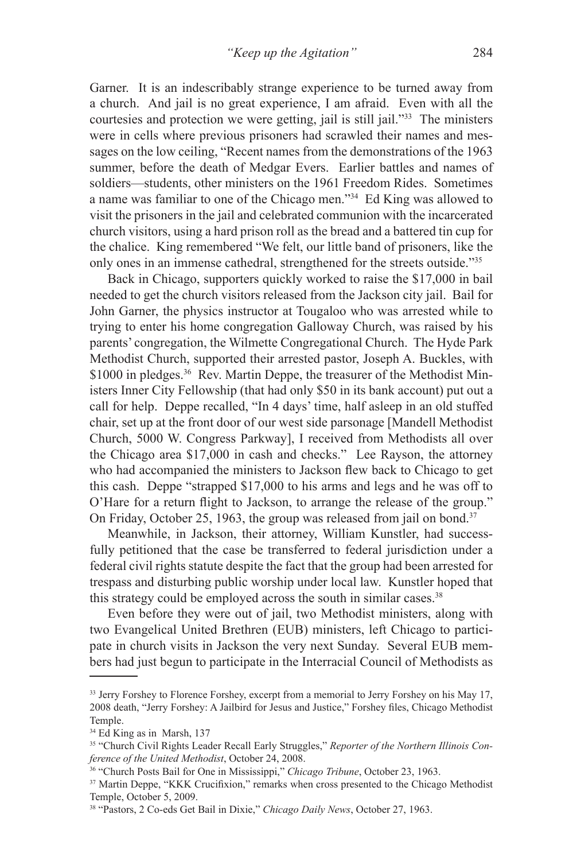Garner. It is an indescribably strange experience to be turned away from a church. And jail is no great experience, I am afraid. Even with all the courtesies and protection we were getting, jail is still jail."33 The ministers were in cells where previous prisoners had scrawled their names and messages on the low ceiling, "Recent names from the demonstrations of the 1963 summer, before the death of Medgar Evers. Earlier battles and names of soldiers—students, other ministers on the 1961 Freedom Rides. Sometimes a name was familiar to one of the Chicago men."34 Ed King was allowed to visit the prisoners in the jail and celebrated communion with the incarcerated church visitors, using a hard prison roll as the bread and a battered tin cup for the chalice. King remembered "We felt, our little band of prisoners, like the only ones in an immense cathedral, strengthened for the streets outside."35

Back in Chicago, supporters quickly worked to raise the \$17,000 in bail needed to get the church visitors released from the Jackson city jail. Bail for John Garner, the physics instructor at Tougaloo who was arrested while to trying to enter his home congregation Galloway Church, was raised by his parents' congregation, the Wilmette Congregational Church. The Hyde Park Methodist Church, supported their arrested pastor, Joseph A. Buckles, with \$1000 in pledges.<sup>36</sup> Rev. Martin Deppe, the treasurer of the Methodist Ministers Inner City Fellowship (that had only \$50 in its bank account) put out a call for help. Deppe recalled, "In 4 days' time, half asleep in an old stuffed chair, set up at the front door of our west side parsonage [Mandell Methodist Church, 5000 W. Congress Parkway], I received from Methodists all over the Chicago area \$17,000 in cash and checks." Lee Rayson, the attorney who had accompanied the ministers to Jackson flew back to Chicago to get this cash. Deppe "strapped \$17,000 to his arms and legs and he was off to O'Hare for a return flight to Jackson, to arrange the release of the group." On Friday, October 25, 1963, the group was released from jail on bond.<sup>37</sup>

Meanwhile, in Jackson, their attorney, William Kunstler, had successfully petitioned that the case be transferred to federal jurisdiction under a federal civil rights statute despite the fact that the group had been arrested for trespass and disturbing public worship under local law. Kunstler hoped that this strategy could be employed across the south in similar cases.<sup>38</sup>

Even before they were out of jail, two Methodist ministers, along with two Evangelical United Brethren (EUB) ministers, left Chicago to participate in church visits in Jackson the very next Sunday. Several EUB members had just begun to participate in the Interracial Council of Methodists as

<sup>&</sup>lt;sup>33</sup> Jerry Forshey to Florence Forshey, excerpt from a memorial to Jerry Forshey on his May 17, 2008 death, "Jerry Forshey: A Jailbird for Jesus and Justice," Forshey files, Chicago Methodist Temple.

<sup>34</sup> Ed King as in Marsh, 137

<sup>35 &</sup>quot;Church Civil Rights Leader Recall Early Struggles," *Reporter of the Northern Illinois Conference of the United Methodist*, October 24, 2008. 36 "Church Posts Bail for One in Mississippi," *Chicago Tribune*, October 23, 1963.

<sup>&</sup>lt;sup>37</sup> Martin Deppe, "KKK Crucifixion," remarks when cross presented to the Chicago Methodist Temple, October 5, 2009.

<sup>38 &</sup>quot;Pastors, 2 Co-eds Get Bail in Dixie," *Chicago Daily News*, October 27, 1963.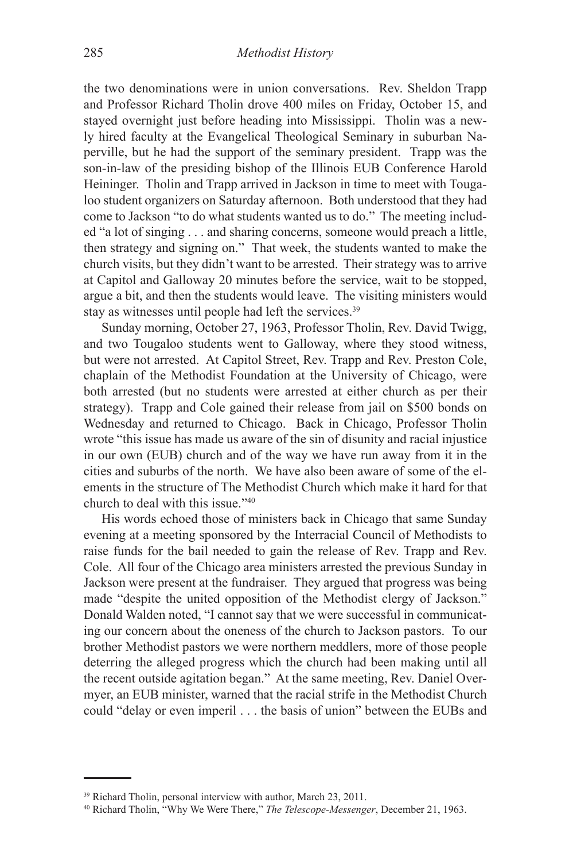the two denominations were in union conversations. Rev. Sheldon Trapp and Professor Richard Tholin drove 400 miles on Friday, October 15, and stayed overnight just before heading into Mississippi. Tholin was a newly hired faculty at the Evangelical Theological Seminary in suburban Naperville, but he had the support of the seminary president. Trapp was the son-in-law of the presiding bishop of the Illinois EUB Conference Harold Heininger. Tholin and Trapp arrived in Jackson in time to meet with Tougaloo student organizers on Saturday afternoon. Both understood that they had come to Jackson "to do what students wanted us to do." The meeting included "a lot of singing . . . and sharing concerns, someone would preach a little, then strategy and signing on." That week, the students wanted to make the church visits, but they didn't want to be arrested. Their strategy was to arrive at Capitol and Galloway 20 minutes before the service, wait to be stopped, argue a bit, and then the students would leave. The visiting ministers would stay as witnesses until people had left the services.<sup>39</sup>

Sunday morning, October 27, 1963, Professor Tholin, Rev. David Twigg, and two Tougaloo students went to Galloway, where they stood witness, but were not arrested. At Capitol Street, Rev. Trapp and Rev. Preston Cole, chaplain of the Methodist Foundation at the University of Chicago, were both arrested (but no students were arrested at either church as per their strategy). Trapp and Cole gained their release from jail on \$500 bonds on Wednesday and returned to Chicago. Back in Chicago, Professor Tholin wrote "this issue has made us aware of the sin of disunity and racial injustice in our own (EUB) church and of the way we have run away from it in the cities and suburbs of the north. We have also been aware of some of the elements in the structure of The Methodist Church which make it hard for that church to deal with this issue."40

His words echoed those of ministers back in Chicago that same Sunday evening at a meeting sponsored by the Interracial Council of Methodists to raise funds for the bail needed to gain the release of Rev. Trapp and Rev. Cole. All four of the Chicago area ministers arrested the previous Sunday in Jackson were present at the fundraiser. They argued that progress was being made "despite the united opposition of the Methodist clergy of Jackson." Donald Walden noted, "I cannot say that we were successful in communicating our concern about the oneness of the church to Jackson pastors. To our brother Methodist pastors we were northern meddlers, more of those people deterring the alleged progress which the church had been making until all the recent outside agitation began." At the same meeting, Rev. Daniel Overmyer, an EUB minister, warned that the racial strife in the Methodist Church could "delay or even imperil . . . the basis of union" between the EUBs and

<sup>39</sup> Richard Tholin, personal interview with author, March 23, 2011.

<sup>40</sup> Richard Tholin, "Why We Were There," *The Telescope-Messenger*, December 21, 1963.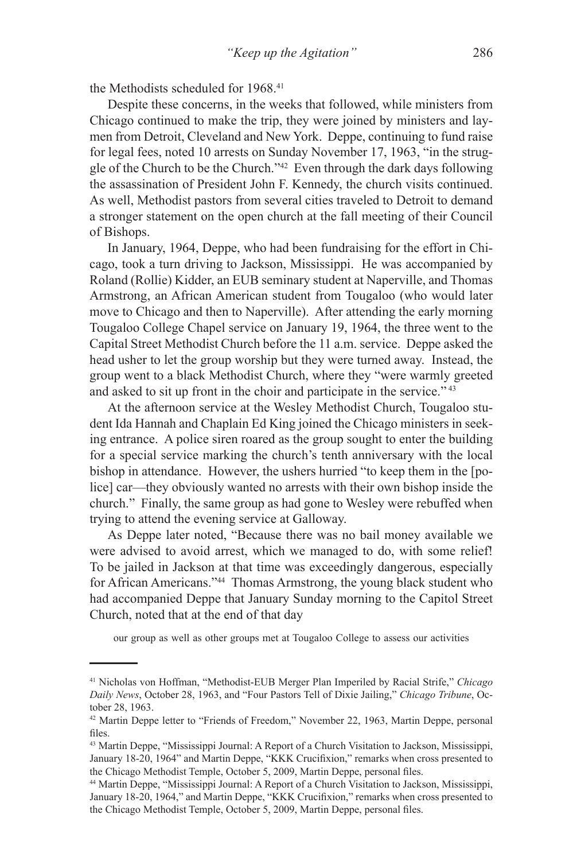the Methodists scheduled for 1968.<sup>41</sup>

Despite these concerns, in the weeks that followed, while ministers from Chicago continued to make the trip, they were joined by ministers and laymen from Detroit, Cleveland and New York. Deppe, continuing to fund raise for legal fees, noted 10 arrests on Sunday November 17, 1963, "in the struggle of the Church to be the Church."42 Even through the dark days following the assassination of President John F. Kennedy, the church visits continued. As well, Methodist pastors from several cities traveled to Detroit to demand a stronger statement on the open church at the fall meeting of their Council of Bishops.

In January, 1964, Deppe, who had been fundraising for the effort in Chicago, took a turn driving to Jackson, Mississippi. He was accompanied by Roland (Rollie) Kidder, an EUB seminary student at Naperville, and Thomas Armstrong, an African American student from Tougaloo (who would later move to Chicago and then to Naperville). After attending the early morning Tougaloo College Chapel service on January 19, 1964, the three went to the Capital Street Methodist Church before the 11 a.m. service. Deppe asked the head usher to let the group worship but they were turned away. Instead, the group went to a black Methodist Church, where they "were warmly greeted and asked to sit up front in the choir and participate in the service." 43

At the afternoon service at the Wesley Methodist Church, Tougaloo student Ida Hannah and Chaplain Ed King joined the Chicago ministers in seeking entrance. A police siren roared as the group sought to enter the building for a special service marking the church's tenth anniversary with the local bishop in attendance. However, the ushers hurried "to keep them in the [police] car—they obviously wanted no arrests with their own bishop inside the church." Finally, the same group as had gone to Wesley were rebuffed when trying to attend the evening service at Galloway.

As Deppe later noted, "Because there was no bail money available we were advised to avoid arrest, which we managed to do, with some relief! To be jailed in Jackson at that time was exceedingly dangerous, especially for African Americans."44 Thomas Armstrong, the young black student who had accompanied Deppe that January Sunday morning to the Capitol Street Church, noted that at the end of that day

our group as well as other groups met at Tougaloo College to assess our activities

<sup>41</sup> Nicholas von Hoffman, "Methodist-EUB Merger Plan Imperiled by Racial Strife," *Chicago Daily News*, October 28, 1963, and "Four Pastors Tell of Dixie Jailing," *Chicago Tribune*, October 28, 1963.

<sup>42</sup> Martin Deppe letter to "Friends of Freedom," November 22, 1963, Martin Deppe, personal files.

<sup>43</sup> Martin Deppe, "Mississippi Journal: A Report of a Church Visitation to Jackson, Mississippi, January 18-20, 1964" and Martin Deppe, "KKK Crucifixion," remarks when cross presented to the Chicago Methodist Temple, October 5, 2009, Martin Deppe, personal files.

<sup>44</sup> Martin Deppe, "Mississippi Journal: A Report of a Church Visitation to Jackson, Mississippi, January 18-20, 1964," and Martin Deppe, "KKK Crucifixion," remarks when cross presented to the Chicago Methodist Temple, October 5, 2009, Martin Deppe, personal files.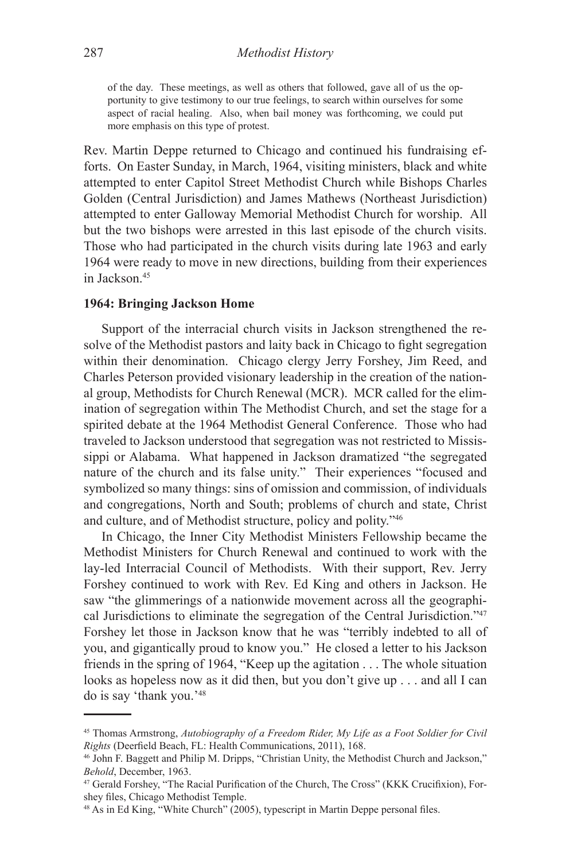of the day. These meetings, as well as others that followed, gave all of us the opportunity to give testimony to our true feelings, to search within ourselves for some aspect of racial healing. Also, when bail money was forthcoming, we could put more emphasis on this type of protest.

Rev. Martin Deppe returned to Chicago and continued his fundraising efforts. On Easter Sunday, in March, 1964, visiting ministers, black and white attempted to enter Capitol Street Methodist Church while Bishops Charles Golden (Central Jurisdiction) and James Mathews (Northeast Jurisdiction) attempted to enter Galloway Memorial Methodist Church for worship. All but the two bishops were arrested in this last episode of the church visits. Those who had participated in the church visits during late 1963 and early 1964 were ready to move in new directions, building from their experiences in Jackson<sup>45</sup>

#### **1964: Bringing Jackson Home**

Support of the interracial church visits in Jackson strengthened the resolve of the Methodist pastors and laity back in Chicago to fight segregation within their denomination. Chicago clergy Jerry Forshey, Jim Reed, and Charles Peterson provided visionary leadership in the creation of the national group, Methodists for Church Renewal (MCR). MCR called for the elimination of segregation within The Methodist Church, and set the stage for a spirited debate at the 1964 Methodist General Conference. Those who had traveled to Jackson understood that segregation was not restricted to Mississippi or Alabama. What happened in Jackson dramatized "the segregated nature of the church and its false unity." Their experiences "focused and symbolized so many things: sins of omission and commission, of individuals and congregations, North and South; problems of church and state, Christ and culture, and of Methodist structure, policy and polity."46

In Chicago, the Inner City Methodist Ministers Fellowship became the Methodist Ministers for Church Renewal and continued to work with the lay-led Interracial Council of Methodists. With their support, Rev. Jerry Forshey continued to work with Rev. Ed King and others in Jackson. He saw "the glimmerings of a nationwide movement across all the geographical Jurisdictions to eliminate the segregation of the Central Jurisdiction."47 Forshey let those in Jackson know that he was "terribly indebted to all of you, and gigantically proud to know you." He closed a letter to his Jackson friends in the spring of 1964, "Keep up the agitation . . . The whole situation looks as hopeless now as it did then, but you don't give up . . . and all I can do is say 'thank you.'48

<sup>45</sup> Thomas Armstrong, *Autobiography of a Freedom Rider, My Life as a Foot Soldier for Civil Rights* (Deerfield Beach, FL: Health Communications, 2011), 168.

<sup>46</sup> John F. Baggett and Philip M. Dripps, "Christian Unity, the Methodist Church and Jackson," *Behold*, December, 1963.

<sup>47</sup> Gerald Forshey, "The Racial Purification of the Church, The Cross" (KKK Crucifixion), Forshey files, Chicago Methodist Temple.

<sup>48</sup> As in Ed King, "White Church" (2005), typescript in Martin Deppe personal files.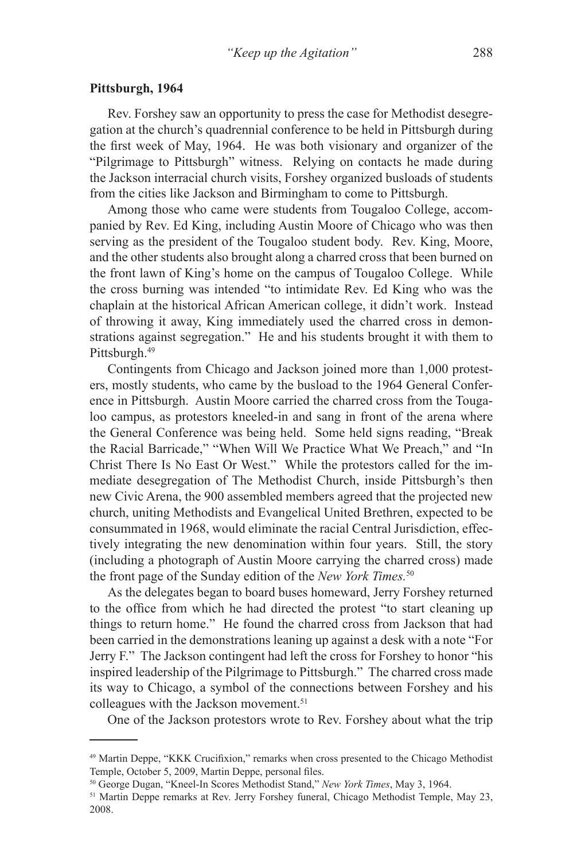#### **Pittsburgh, 1964**

Rev. Forshey saw an opportunity to press the case for Methodist desegregation at the church's quadrennial conference to be held in Pittsburgh during the first week of May, 1964. He was both visionary and organizer of the "Pilgrimage to Pittsburgh" witness. Relying on contacts he made during the Jackson interracial church visits, Forshey organized busloads of students from the cities like Jackson and Birmingham to come to Pittsburgh.

Among those who came were students from Tougaloo College, accompanied by Rev. Ed King, including Austin Moore of Chicago who was then serving as the president of the Tougaloo student body. Rev. King, Moore, and the other students also brought along a charred cross that been burned on the front lawn of King's home on the campus of Tougaloo College. While the cross burning was intended "to intimidate Rev. Ed King who was the chaplain at the historical African American college, it didn't work. Instead of throwing it away, King immediately used the charred cross in demonstrations against segregation." He and his students brought it with them to Pittsburgh.<sup>49</sup>

Contingents from Chicago and Jackson joined more than 1,000 protesters, mostly students, who came by the busload to the 1964 General Conference in Pittsburgh. Austin Moore carried the charred cross from the Tougaloo campus, as protestors kneeled-in and sang in front of the arena where the General Conference was being held. Some held signs reading, "Break the Racial Barricade," "When Will We Practice What We Preach," and "In Christ There Is No East Or West." While the protestors called for the immediate desegregation of The Methodist Church, inside Pittsburgh's then new Civic Arena, the 900 assembled members agreed that the projected new church, uniting Methodists and Evangelical United Brethren, expected to be consummated in 1968, would eliminate the racial Central Jurisdiction, effectively integrating the new denomination within four years. Still, the story (including a photograph of Austin Moore carrying the charred cross) made the front page of the Sunday edition of the *New York Times.*50

As the delegates began to board buses homeward, Jerry Forshey returned to the office from which he had directed the protest "to start cleaning up things to return home." He found the charred cross from Jackson that had been carried in the demonstrations leaning up against a desk with a note "For Jerry F." The Jackson contingent had left the cross for Forshey to honor "his inspired leadership of the Pilgrimage to Pittsburgh." The charred cross made its way to Chicago, a symbol of the connections between Forshey and his colleagues with the Jackson movement.<sup>51</sup>

One of the Jackson protestors wrote to Rev. Forshey about what the trip

<sup>&</sup>lt;sup>49</sup> Martin Deppe, "KKK Crucifixion," remarks when cross presented to the Chicago Methodist Temple, October 5, 2009, Martin Deppe, personal files.

<sup>50</sup> George Dugan, "Kneel-In Scores Methodist Stand," *New York Times*, May 3, 1964.

<sup>&</sup>lt;sup>51</sup> Martin Deppe remarks at Rev. Jerry Forshey funeral, Chicago Methodist Temple, May 23, 2008.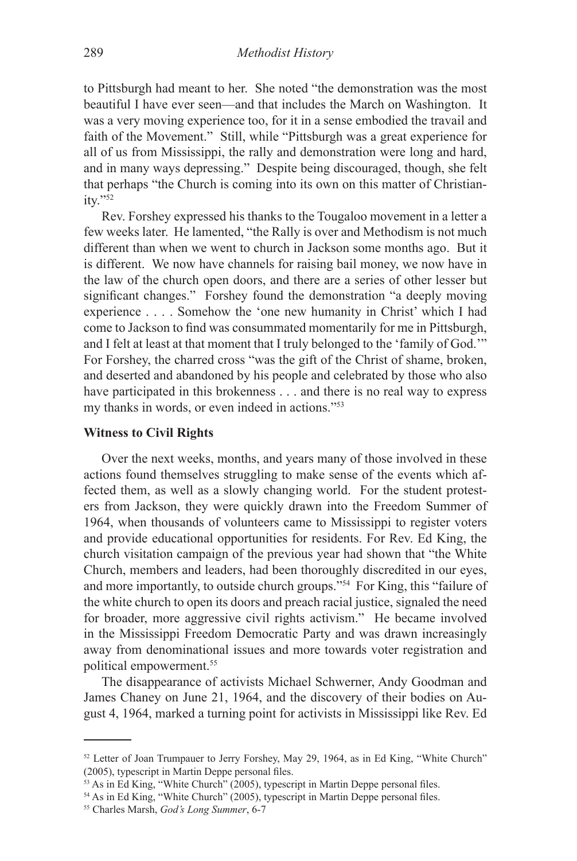to Pittsburgh had meant to her. She noted "the demonstration was the most beautiful I have ever seen—and that includes the March on Washington. It was a very moving experience too, for it in a sense embodied the travail and faith of the Movement." Still, while "Pittsburgh was a great experience for all of us from Mississippi, the rally and demonstration were long and hard, and in many ways depressing." Despite being discouraged, though, she felt that perhaps "the Church is coming into its own on this matter of Christianity."52

Rev. Forshey expressed his thanks to the Tougaloo movement in a letter a few weeks later. He lamented, "the Rally is over and Methodism is not much different than when we went to church in Jackson some months ago. But it is different. We now have channels for raising bail money, we now have in the law of the church open doors, and there are a series of other lesser but significant changes." Forshey found the demonstration "a deeply moving experience . . . . Somehow the 'one new humanity in Christ' which I had come to Jackson to find was consummated momentarily for me in Pittsburgh, and I felt at least at that moment that I truly belonged to the 'family of God.'" For Forshey, the charred cross "was the gift of the Christ of shame, broken, and deserted and abandoned by his people and celebrated by those who also have participated in this brokenness . . . and there is no real way to express my thanks in words, or even indeed in actions."53

## **Witness to Civil Rights**

Over the next weeks, months, and years many of those involved in these actions found themselves struggling to make sense of the events which affected them, as well as a slowly changing world. For the student protesters from Jackson, they were quickly drawn into the Freedom Summer of 1964, when thousands of volunteers came to Mississippi to register voters and provide educational opportunities for residents. For Rev. Ed King, the church visitation campaign of the previous year had shown that "the White Church, members and leaders, had been thoroughly discredited in our eyes, and more importantly, to outside church groups."54 For King, this "failure of the white church to open its doors and preach racial justice, signaled the need for broader, more aggressive civil rights activism." He became involved in the Mississippi Freedom Democratic Party and was drawn increasingly away from denominational issues and more towards voter registration and political empowerment.<sup>55</sup>

The disappearance of activists Michael Schwerner, Andy Goodman and James Chaney on June 21, 1964, and the discovery of their bodies on August 4, 1964, marked a turning point for activists in Mississippi like Rev. Ed

<sup>&</sup>lt;sup>52</sup> Letter of Joan Trumpauer to Jerry Forshey, May 29, 1964, as in Ed King, "White Church" (2005), typescript in Martin Deppe personal files.

<sup>&</sup>lt;sup>53</sup> As in Ed King, "White Church" (2005), typescript in Martin Deppe personal files.

<sup>&</sup>lt;sup>54</sup> As in Ed King, "White Church" (2005), typescript in Martin Deppe personal files.

<sup>55</sup> Charles Marsh, *God's Long Summer*, 6-7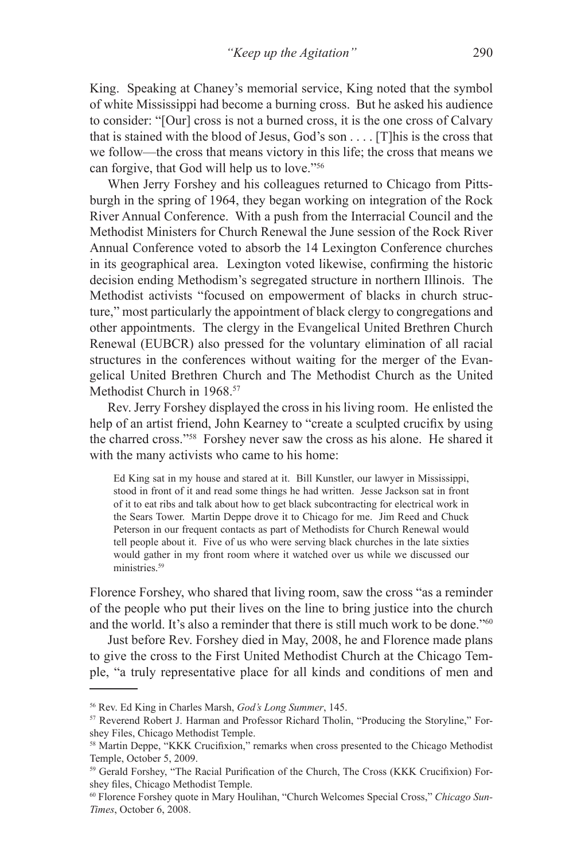King. Speaking at Chaney's memorial service, King noted that the symbol of white Mississippi had become a burning cross. But he asked his audience to consider: "[Our] cross is not a burned cross, it is the one cross of Calvary that is stained with the blood of Jesus, God's son . . . . [T]his is the cross that we follow—the cross that means victory in this life; the cross that means we can forgive, that God will help us to love."56

When Jerry Forshey and his colleagues returned to Chicago from Pittsburgh in the spring of 1964, they began working on integration of the Rock River Annual Conference. With a push from the Interracial Council and the Methodist Ministers for Church Renewal the June session of the Rock River Annual Conference voted to absorb the 14 Lexington Conference churches in its geographical area. Lexington voted likewise, confirming the historic decision ending Methodism's segregated structure in northern Illinois. The Methodist activists "focused on empowerment of blacks in church structure," most particularly the appointment of black clergy to congregations and other appointments. The clergy in the Evangelical United Brethren Church Renewal (EUBCR) also pressed for the voluntary elimination of all racial structures in the conferences without waiting for the merger of the Evangelical United Brethren Church and The Methodist Church as the United Methodist Church in 1968.<sup>57</sup>

Rev. Jerry Forshey displayed the cross in his living room. He enlisted the help of an artist friend, John Kearney to "create a sculpted crucifix by using the charred cross."58 Forshey never saw the cross as his alone. He shared it with the many activists who came to his home:

Ed King sat in my house and stared at it. Bill Kunstler, our lawyer in Mississippi, stood in front of it and read some things he had written. Jesse Jackson sat in front of it to eat ribs and talk about how to get black subcontracting for electrical work in the Sears Tower. Martin Deppe drove it to Chicago for me. Jim Reed and Chuck Peterson in our frequent contacts as part of Methodists for Church Renewal would tell people about it. Five of us who were serving black churches in the late sixties would gather in my front room where it watched over us while we discussed our ministries.<sup>59</sup>

Florence Forshey, who shared that living room, saw the cross "as a reminder of the people who put their lives on the line to bring justice into the church and the world. It's also a reminder that there is still much work to be done."<sup>60</sup>

Just before Rev. Forshey died in May, 2008, he and Florence made plans to give the cross to the First United Methodist Church at the Chicago Temple, "a truly representative place for all kinds and conditions of men and

<sup>56</sup> Rev. Ed King in Charles Marsh, *God's Long Summer*, 145.

<sup>57</sup> Reverend Robert J. Harman and Professor Richard Tholin, "Producing the Storyline," Forshey Files, Chicago Methodist Temple.

<sup>58</sup> Martin Deppe, "KKK Crucifixion," remarks when cross presented to the Chicago Methodist Temple, October 5, 2009.

<sup>59</sup> Gerald Forshey, "The Racial Purification of the Church, The Cross (KKK Crucifixion) Forshey files, Chicago Methodist Temple.

<sup>60</sup> Florence Forshey quote in Mary Houlihan, "Church Welcomes Special Cross," *Chicago Sun-Times*, October 6, 2008.